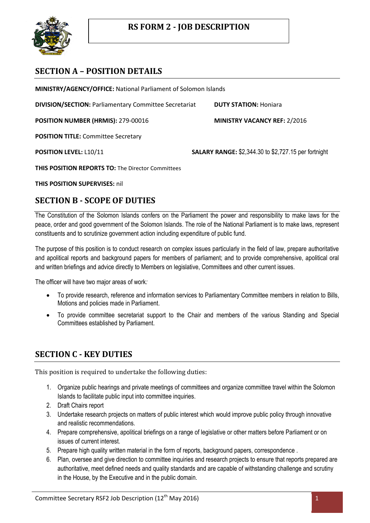

# **SECTION A – POSITION DETAILS**

**MINISTRY/AGENCY/OFFICE:** National Parliament of Solomon Islands

**DIVISION/SECTION:** Parliamentary Committee Secretariat **DUTY STATION:** Honiara

**POSITION NUMBER (HRMIS):** 279-00016 **MINISTRY VACANCY REF:** 2/2016

**POSITION TITLE:** Committee Secretary

**POSITION LEVEL:** L10/11 **SALARY RANGE:** \$2,344.30 to \$2,727.15 per fortnight

**THIS POSITION REPORTS TO:** The Director Committees

**THIS POSITION SUPERVISES:** nil

#### **SECTION B - SCOPE OF DUTIES**

The Constitution of the Solomon Islands confers on the Parliament the power and responsibility to make laws for the peace, order and good government of the Solomon Islands. The role of the National Parliament is to make laws, represent constituents and to scrutinize government action including expenditure of public fund.

The purpose of this position is to conduct research on complex issues particularly in the field of law, prepare authoritative and apolitical reports and background papers for members of parliament; and to provide comprehensive, apolitical oral and written briefings and advice directly to Members on legislative, Committees and other current issues.

The officer will have two major areas of work*:*

- To provide research, reference and information services to Parliamentary Committee members in relation to Bills, Motions and policies made in Parliament.
- To provide committee secretariat support to the Chair and members of the various Standing and Special Committees established by Parliament.

### **SECTION C - KEY DUTIES**

This position is required to undertake the following duties:

- 1. Organize public hearings and private meetings of committees and organize committee travel within the Solomon Islands to facilitate public input into committee inquiries.
- 2. Draft Chairs report
- 3. Undertake research projects on matters of public interest which would improve public policy through innovative and realistic recommendations.
- 4. Prepare comprehensive, apolitical briefings on a range of legislative or other matters before Parliament or on issues of current interest.
- 5. Prepare high quality written material in the form of reports, background papers, correspondence .
- 6. Plan, oversee and give direction to committee inquiries and research projects to ensure that reports prepared are authoritative, meet defined needs and quality standards and are capable of withstanding challenge and scrutiny in the House, by the Executive and in the public domain.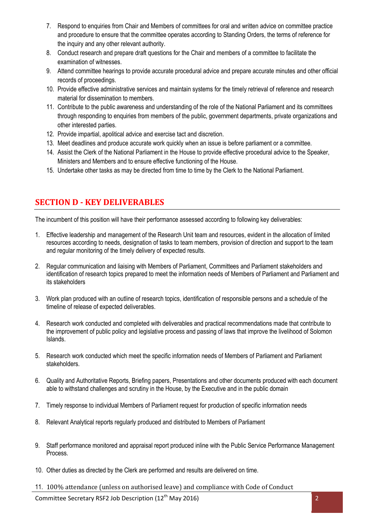- 7. Respond to enquiries from Chair and Members of committees for oral and written advice on committee practice and procedure to ensure that the committee operates according to Standing Orders, the terms of reference for the inquiry and any other relevant authority.
- 8. Conduct research and prepare draft questions for the Chair and members of a committee to facilitate the examination of witnesses.
- 9. Attend committee hearings to provide accurate procedural advice and prepare accurate minutes and other official records of proceedings.
- 10. Provide effective administrative services and maintain systems for the timely retrieval of reference and research material for dissemination to members.
- 11. Contribute to the public awareness and understanding of the role of the National Parliament and its committees through responding to enquiries from members of the public, government departments, private organizations and other interested parties.
- 12. Provide impartial, apolitical advice and exercise tact and discretion.
- 13. Meet deadlines and produce accurate work quickly when an issue is before parliament or a committee.
- 14. Assist the Clerk of the National Parliament in the House to provide effective procedural advice to the Speaker, Ministers and Members and to ensure effective functioning of the House.
- 15. Undertake other tasks as may be directed from time to time by the Clerk to the National Parliament.

## **SECTION D - KEY DELIVERABLES**

The incumbent of this position will have their performance assessed according to following key deliverables:

- 1. Effective leadership and management of the Research Unit team and resources, evident in the allocation of limited resources according to needs, designation of tasks to team members, provision of direction and support to the team and regular monitoring of the timely delivery of expected results.
- 2. Regular communication and liaising with Members of Parliament, Committees and Parliament stakeholders and identification of research topics prepared to meet the information needs of Members of Parliament and Parliament and its stakeholders
- 3. Work plan produced with an outline of research topics, identification of responsible persons and a schedule of the timeline of release of expected deliverables.
- 4. Research work conducted and completed with deliverables and practical recommendations made that contribute to the improvement of public policy and legislative process and passing of laws that improve the livelihood of Solomon Islands.
- 5. Research work conducted which meet the specific information needs of Members of Parliament and Parliament stakeholders.
- 6. Quality and Authoritative Reports, Briefing papers, Presentations and other documents produced with each document able to withstand challenges and scrutiny in the House, by the Executive and in the public domain
- 7. Timely response to individual Members of Parliament request for production of specific information needs
- 8. Relevant Analytical reports regularly produced and distributed to Members of Parliament
- 9. Staff performance monitored and appraisal report produced inline with the Public Service Performance Management Process.
- 10. Other duties as directed by the Clerk are performed and results are delivered on time.
- 11. 100% attendance (unless on authorised leave) and compliance with Code of Conduct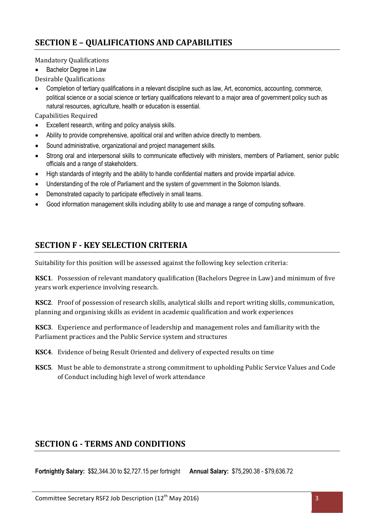# **SECTION E – QUALIFICATIONS AND CAPABILITIES**

Mandatory Qualifications

• Bachelor Degree in Law

Desirable Qualifications

 Completion of tertiary qualifications in a relevant discipline such as law, Art, economics, accounting, commerce, political science or a social science or tertiary qualifications relevant to a major area of government policy such as natural resources, agriculture, health or education is essential.

Capabilities Required

- Excellent research, writing and policy analysis skills.
- Ability to provide comprehensive, apolitical oral and written advice directly to members.
- Sound administrative, organizational and project management skills.
- Strong oral and interpersonal skills to communicate effectively with ministers, members of Parliament, senior public officials and a range of stakeholders.
- High standards of integrity and the ability to handle confidential matters and provide impartial advice.
- Understanding of the role of Parliament and the system of government in the Solomon Islands.
- Demonstrated capacity to participate effectively in small teams.
- Good information management skills including ability to use and manage a range of computing software.

# **SECTION F - KEY SELECTION CRITERIA**

Suitability for this position will be assessed against the following key selection criteria:

**KSC1**. Possession of relevant mandatory qualification (Bachelors Degree in Law) and minimum of five years work experience involving research.

**KSC2**. Proof of possession of research skills, analytical skills and report writing skills, communication, planning and organising skills as evident in academic qualification and work experiences

**KSC3**. Experience and performance of leadership and management roles and familiarity with the Parliament practices and the Public Service system and structures

- **KSC4**. Evidence of being Result Oriented and delivery of expected results on time
- **KSC5**. Must be able to demonstrate a strong commitment to upholding Public Service Values and Code of Conduct including high level of work attendance

### **SECTION G - TERMS AND CONDITIONS**

**Fortnightly Salary:** \$\$2,344.30 to \$2,727.15 per fortnight **Annual Salary:** \$75,290.38 - \$79,636.72